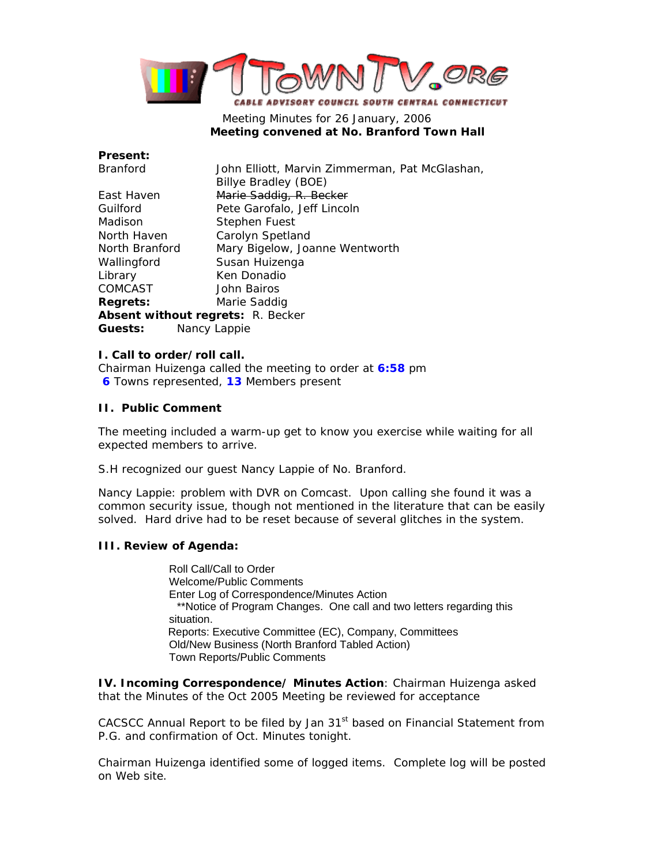

# Meeting Minutes for 26 January, 2006  **Meeting convened at No. Branford Town Hall**

| Present:                                 |                                                |
|------------------------------------------|------------------------------------------------|
| Branford                                 | John Elliott, Marvin Zimmerman, Pat McGlashan, |
|                                          | Billye Bradley (BOE)                           |
| East Haven                               | Marie Saddig, R. Becker                        |
| Guilford                                 | Pete Garofalo, Jeff Lincoln                    |
| Madison                                  | Stephen Fuest                                  |
| North Haven                              | Carolyn Spetland                               |
| North Branford                           | Mary Bigelow, Joanne Wentworth                 |
| Wallingford                              | Susan Huizenga                                 |
| Library                                  | Ken Donadio                                    |
| COMCAST                                  | John Bairos                                    |
| <b>Regrets:</b>                          | Marie Saddig                                   |
| <b>Absent without regrets: R. Becker</b> |                                                |
| <b>Guests:</b>                           | Nancy Lappie                                   |
|                                          |                                                |

### **I. Call to order/roll call.**

Chairman Huizenga called the meeting to order at **6:58** pm **6** Towns represented, **13** Members present

### **II. Public Comment**

The meeting included a warm-up get to know you exercise while waiting for all expected members to arrive.

S.H recognized our guest Nancy Lappie of No. Branford.

Nancy Lappie: problem with DVR on Comcast. Upon calling she found it was a common security issue, though not mentioned in the literature that can be easily solved. Hard drive had to be reset because of several glitches in the system.

## **III. Review of Agenda:**

Roll Call/Call to Order Welcome/Public Comments Enter Log of Correspondence/Minutes Action \*\*Notice of Program Changes. One call and two letters regarding this situation. Reports: Executive Committee (EC), Company, Committees Old/New Business (North Branford Tabled Action) Town Reports/Public Comments

**IV. Incoming Correspondence/ Minutes Action**: Chairman Huizenga asked that the Minutes of the Oct 2005 Meeting be reviewed for acceptance

CACSCC Annual Report to be filed by Jan 31<sup>st</sup> based on Financial Statement from P.G. and confirmation of Oct. Minutes tonight.

Chairman Huizenga identified some of logged items. Complete log will be posted on Web site.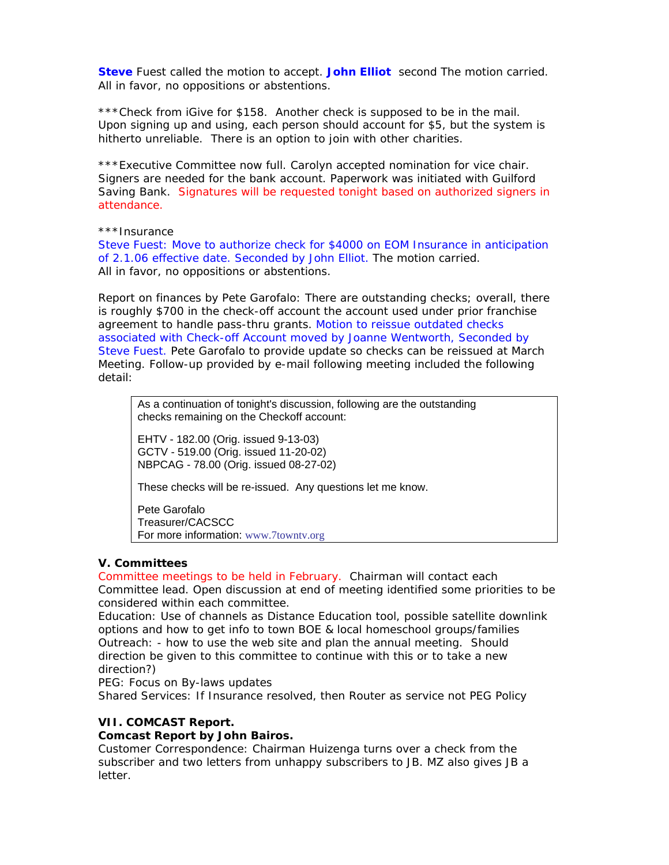**Steve** Fuest called the motion to accept. **John Elliot** second The motion carried. All in favor, no oppositions or abstentions.

\*\*\*Check from iGive for \$158. Another check is supposed to be in the mail. Upon signing up and using, each person should account for \$5, but the system is hitherto unreliable. There is an option to join with other charities.

\*\*\*Executive Committee now full. Carolyn accepted nomination for vice chair. Signers are needed for the bank account. Paperwork was initiated with Guilford Saving Bank. Signatures will be requested tonight based on authorized signers in attendance.

\*\*\*Insurance

Steve Fuest: Move to authorize check for \$4000 on EOM Insurance in anticipation of 2.1.06 effective date. Seconded by John Elliot. The motion carried. All in favor, no oppositions or abstentions.

Report on finances by Pete Garofalo: There are outstanding checks; overall, there is roughly \$700 in the check-off account the account used under prior franchise agreement to handle pass-thru grants. Motion to reissue outdated checks associated with Check-off Account moved by Joanne Wentworth, Seconded by Steve Fuest. Pete Garofalo to provide update so checks can be reissued at March Meeting. Follow-up provided by e-mail following meeting included the following detail:

As a continuation of tonight's discussion, following are the outstanding checks remaining on the Checkoff account:

EHTV - 182.00 (Orig. issued 9-13-03) GCTV - 519.00 (Orig. issued 11-20-02) NBPCAG - 78.00 (Orig. issued 08-27-02)

These checks will be re-issued. Any questions let me know.

Pete Garofalo Treasurer/CACSCC For more information: www.7towntv.org

#### **V. Committees**

Committee meetings to be held in February. Chairman will contact each Committee lead. Open discussion at end of meeting identified some priorities to be considered within each committee.

Education: Use of channels as Distance Education tool, possible satellite downlink options and how to get info to town BOE & local homeschool groups/families Outreach: - how to use the web site and plan the annual meeting. Should direction be given to this committee to continue with this or to take a new direction?)

PEG: Focus on By-laws updates

Shared Services: If Insurance resolved, then Router as service not PEG Policy

#### **VII. COMCAST Report.**

#### **Comcast Report by John Bairos.**

Customer Correspondence: Chairman Huizenga turns over a check from the subscriber and two letters from unhappy subscribers to JB. MZ also gives JB a letter.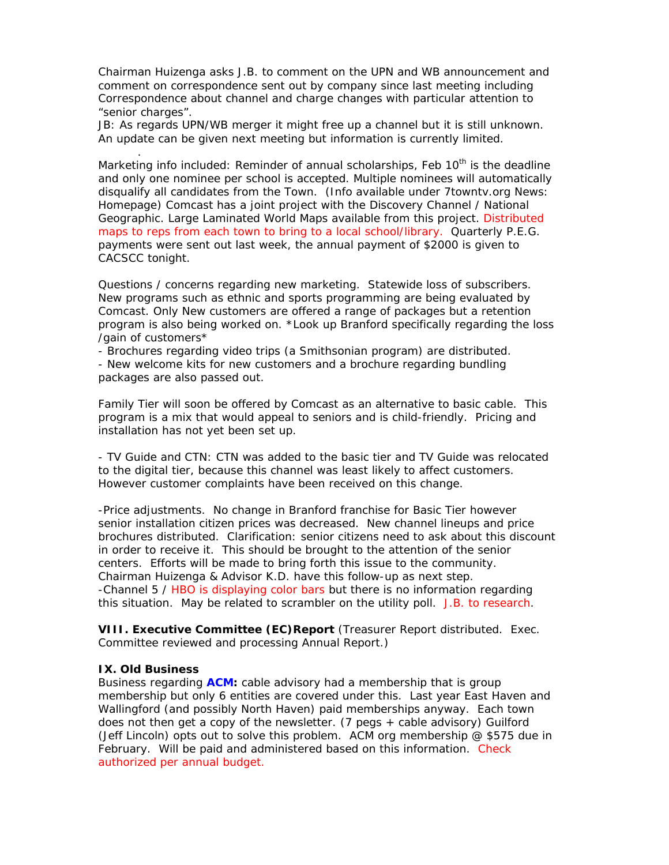Chairman Huizenga asks J.B. to comment on the UPN and WB announcement and comment on correspondence sent out by company since last meeting including Correspondence about channel and charge changes with particular attention to "senior charges".

JB: As regards UPN/WB merger it might free up a channel but it is still unknown. An update can be given next meeting but information is currently limited.

Marketing info included: Reminder of annual scholarships, Feb  $10<sup>th</sup>$  is the deadline and only one nominee per school is accepted. Multiple nominees will automatically disqualify all candidates from the Town. (Info available under 7towntv.org News: Homepage) Comcast has a joint project with the Discovery Channel / National Geographic. Large Laminated World Maps available from this project. Distributed maps to reps from each town to bring to a local school/library. Quarterly P.E.G. payments were sent out last week, the annual payment of \$2000 is given to CACSCC tonight.

Questions / concerns regarding new marketing. Statewide loss of subscribers. New programs such as ethnic and sports programming are being evaluated by Comcast. Only New customers are offered a range of packages but a retention program is also being worked on. \*Look up Branford specifically regarding the loss /gain of customers\*

- Brochures regarding video trips (a Smithsonian program) are distributed. - New welcome kits for new customers and a brochure regarding bundling packages are also passed out.

Family Tier will soon be offered by Comcast as an alternative to basic cable. This program is a mix that would appeal to seniors and is child-friendly. Pricing and installation has not yet been set up.

- TV Guide and CTN: CTN was added to the basic tier and TV Guide was relocated to the digital tier, because this channel was least likely to affect customers. However customer complaints have been received on this change.

-Price adjustments. No change in Branford franchise for Basic Tier however senior installation citizen prices was decreased. New channel lineups and price brochures distributed. Clarification: senior citizens need to ask about this discount in order to receive it. This should be brought to the attention of the senior centers. Efforts will be made to bring forth this issue to the community. Chairman Huizenga & Advisor K.D. have this follow-up as next step. -Channel 5 / HBO is displaying color bars but there is no information regarding this situation. May be related to scrambler on the utility poll. J.B. to research.

**VIII. Executive Committee (EC)Report** (Treasurer Report distributed. Exec. Committee reviewed and processing Annual Report.)

#### **IX. Old Business**

.

Business regarding **ACM:** cable advisory had a membership that is group membership but only 6 entities are covered under this. Last year East Haven and Wallingford (and possibly North Haven) paid memberships anyway. Each town does not then get a copy of the newsletter. (7 pegs + cable advisory) Guilford (Jeff Lincoln) opts out to solve this problem. ACM org membership  $@$  \$575 due in February. Will be paid and administered based on this information. Check authorized per annual budget.